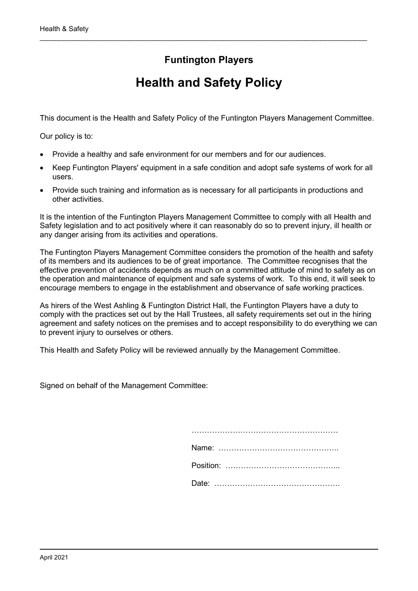# **Funtington Players**

\_\_\_\_\_\_\_\_\_\_\_\_\_\_\_\_\_\_\_\_\_\_\_\_\_\_\_\_\_\_\_\_\_\_\_\_\_\_\_\_\_\_\_\_\_\_\_\_\_\_\_\_\_\_\_\_\_\_\_\_\_\_\_\_\_\_\_\_\_\_\_\_\_\_\_\_\_\_\_\_\_\_\_\_

# **Health and Safety Policy**

This document is the Health and Safety Policy of the Funtington Players Management Committee.

Our policy is to:

- Provide a healthy and safe environment for our members and for our audiences.
- Keep Funtington Players' equipment in a safe condition and adopt safe systems of work for all users.
- Provide such training and information as is necessary for all participants in productions and other activities.

It is the intention of the Funtington Players Management Committee to comply with all Health and Safety legislation and to act positively where it can reasonably do so to prevent injury, ill health or any danger arising from its activities and operations.

The Funtington Players Management Committee considers the promotion of the health and safety of its members and its audiences to be of great importance. The Committee recognises that the effective prevention of accidents depends as much on a committed attitude of mind to safety as on the operation and maintenance of equipment and safe systems of work. To this end, it will seek to encourage members to engage in the establishment and observance of safe working practices.

As hirers of the West Ashling & Funtington District Hall, the Funtington Players have a duty to comply with the practices set out by the Hall Trustees, all safety requirements set out in the hiring agreement and safety notices on the premises and to accept responsibility to do everything we can to prevent injury to ourselves or others.

This Health and Safety Policy will be reviewed annually by the Management Committee.

Signed on behalf of the Management Committee: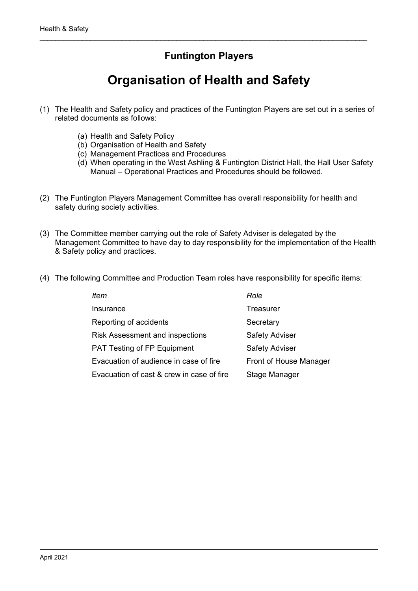# **Funtington Players**

\_\_\_\_\_\_\_\_\_\_\_\_\_\_\_\_\_\_\_\_\_\_\_\_\_\_\_\_\_\_\_\_\_\_\_\_\_\_\_\_\_\_\_\_\_\_\_\_\_\_\_\_\_\_\_\_\_\_\_\_\_\_\_\_\_\_\_\_\_\_\_\_\_\_\_\_\_\_\_\_\_\_\_\_

# **Organisation of Health and Safety**

- (1) The Health and Safety policy and practices of the Funtington Players are set out in a series of related documents as follows:
	- (a) Health and Safety Policy
	- (b) Organisation of Health and Safety
	- (c) Management Practices and Procedures
	- (d) When operating in the West Ashling & Funtington District Hall, the Hall User Safety Manual – Operational Practices and Procedures should be followed.
- (2) The Funtington Players Management Committee has overall responsibility for health and safety during society activities.
- (3) The Committee member carrying out the role of Safety Adviser is delegated by the Management Committee to have day to day responsibility for the implementation of the Health & Safety policy and practices.
- (4) The following Committee and Production Team roles have responsibility for specific items:

| ltem                                      | Role                   |
|-------------------------------------------|------------------------|
| Insurance                                 | Treasurer              |
| Reporting of accidents                    | Secretary              |
| <b>Risk Assessment and inspections</b>    | <b>Safety Adviser</b>  |
| PAT Testing of FP Equipment               | <b>Safety Adviser</b>  |
| Evacuation of audience in case of fire    | Front of House Manager |
| Evacuation of cast & crew in case of fire | Stage Manager          |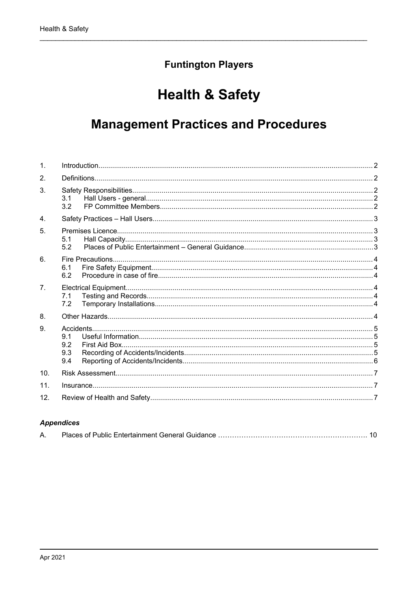# **Funtington Players**

# **Health & Safety**

# **Management Practices and Procedures**

| $\mathbf{1}$    |                          |  |
|-----------------|--------------------------|--|
| 2.              |                          |  |
| 3 <sub>1</sub>  | 3.1<br>3.2               |  |
| 4 <sub>1</sub>  |                          |  |
| 5.              | 5.1<br>5.2               |  |
| 6.              | 6.1<br>6.2               |  |
| 7 <sub>1</sub>  | 7.1<br>7.2               |  |
| 8.              |                          |  |
| 9.              | 9.1<br>9.2<br>9.3<br>9.4 |  |
| 10 <sub>1</sub> |                          |  |
| 11.             |                          |  |
| 12.             |                          |  |

#### **Appendices**

|--|--|--|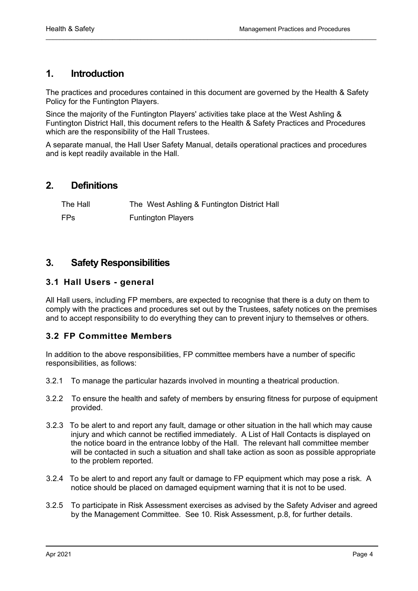## <span id="page-3-4"></span>**1. Introduction**

The practices and procedures contained in this document are governed by the Health & Safety Policy for the Funtington Players.

 $\mathcal{L}_\mathcal{L} = \{ \mathcal{L}_\mathcal{L} = \{ \mathcal{L}_\mathcal{L} = \{ \mathcal{L}_\mathcal{L} = \{ \mathcal{L}_\mathcal{L} = \{ \mathcal{L}_\mathcal{L} = \{ \mathcal{L}_\mathcal{L} = \{ \mathcal{L}_\mathcal{L} = \{ \mathcal{L}_\mathcal{L} = \{ \mathcal{L}_\mathcal{L} = \{ \mathcal{L}_\mathcal{L} = \{ \mathcal{L}_\mathcal{L} = \{ \mathcal{L}_\mathcal{L} = \{ \mathcal{L}_\mathcal{L} = \{ \mathcal{L}_\mathcal{$ 

Since the majority of the Funtington Players' activities take place at the West Ashling & Funtington District Hall, this document refers to the Health & Safety Practices and Procedures which are the responsibility of the Hall Trustees.

A separate manual, the Hall User Safety Manual, details operational practices and procedures and is kept readily available in the Hall.

## <span id="page-3-3"></span>**2. Definitions**

| The Hall   | The West Ashling & Funtington District Hall |
|------------|---------------------------------------------|
| <b>FPs</b> | <b>Funtington Players</b>                   |

## <span id="page-3-2"></span>**3. Safety Responsibilities**

#### <span id="page-3-1"></span>**3.1 Hall Users - general**

All Hall users, including FP members, are expected to recognise that there is a duty on them to comply with the practices and procedures set out by the Trustees, safety notices on the premises and to accept responsibility to do everything they can to prevent injury to themselves or others.

#### <span id="page-3-0"></span>**3.2 FP Committee Members**

In addition to the above responsibilities, FP committee members have a number of specific responsibilities, as follows:

- 3.2.1 To manage the particular hazards involved in mounting a theatrical production.
- 3.2.2 To ensure the health and safety of members by ensuring fitness for purpose of equipment provided.
- 3.2.3 To be alert to and report any fault, damage or other situation in the hall which may cause injury and which cannot be rectified immediately. A List of Hall Contacts is displayed on the notice board in the entrance lobby of the Hall. The relevant hall committee member will be contacted in such a situation and shall take action as soon as possible appropriate to the problem reported.
- 3.2.4 To be alert to and report any fault or damage to FP equipment which may pose a risk. A notice should be placed on damaged equipment warning that it is not to be used.
- 3.2.5 To participate in Risk Assessment exercises as advised by the Safety Adviser and agreed by the Management Committee. See 10. [Risk Assessment](#page-7-3), p[.8,](#page-7-3) for further details.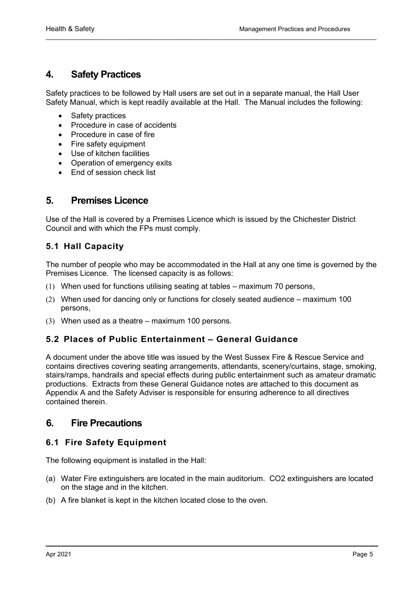## <span id="page-4-4"></span>**4. Safety Practices**

Safety practices to be followed by Hall users are set out in a separate manual, the Hall User Safety Manual, which is kept readily available at the Hall. The Manual includes the following:

 $\mathcal{L}_\mathcal{L} = \{ \mathcal{L}_\mathcal{L} = \{ \mathcal{L}_\mathcal{L} = \{ \mathcal{L}_\mathcal{L} = \{ \mathcal{L}_\mathcal{L} = \{ \mathcal{L}_\mathcal{L} = \{ \mathcal{L}_\mathcal{L} = \{ \mathcal{L}_\mathcal{L} = \{ \mathcal{L}_\mathcal{L} = \{ \mathcal{L}_\mathcal{L} = \{ \mathcal{L}_\mathcal{L} = \{ \mathcal{L}_\mathcal{L} = \{ \mathcal{L}_\mathcal{L} = \{ \mathcal{L}_\mathcal{L} = \{ \mathcal{L}_\mathcal{$ 

- Safety practices
- Procedure in case of accidents
- Procedure in case of fire
- Fire safety equipment
- Use of kitchen facilities
- Operation of emergency exits
- End of session check list

## <span id="page-4-3"></span>**5. Premises Licence**

Use of the Hall is covered by a Premises Licence which is issued by the Chichester District Council and with which the FPs must comply.

## <span id="page-4-2"></span>**5.1 Hall Capacity**

The number of people who may be accommodated in the Hall at any one time is governed by the Premises Licence. The licensed capacity is as follows:

- (1) When used for functions utilising seating at tables maximum 70 persons,
- (2) When used for dancing only or functions for closely seated audience maximum 100 persons,
- (3) When used as a theatre maximum 100 persons.

#### <span id="page-4-1"></span>**5.2 Places of Public Entertainment – General Guidance**

A document under the above title was issued by the West Sussex Fire & Rescue Service and contains directives covering seating arrangements, attendants, scenery/curtains, stage, smoking, stairs/ramps, handrails and special effects during public entertainment such as amateur dramatic productions. Extracts from these General Guidance notes are attached to this document as Appendix A and the Safety Adviser is responsible for ensuring adherence to all directives contained therein.

## <span id="page-4-0"></span>**6. Fire Precautions**

#### <span id="page-4-5"></span>**6.1 Fire Safety Equipment**

The following equipment is installed in the Hall:

- (a) Water Fire extinguishers are located in the main auditorium. CO2 extinguishers are located on the stage and in the kitchen.
- (b) A fire blanket is kept in the kitchen located close to the oven.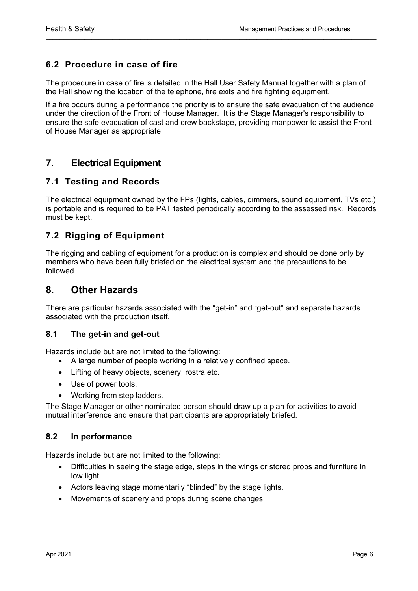## <span id="page-5-3"></span>**6.2 Procedure in case of fire**

The procedure in case of fire is detailed in the Hall User Safety Manual together with a plan of the Hall showing the location of the telephone, fire exits and fire fighting equipment.

 $\mathcal{L}_\mathcal{L} = \{ \mathcal{L}_\mathcal{L} = \{ \mathcal{L}_\mathcal{L} = \{ \mathcal{L}_\mathcal{L} = \{ \mathcal{L}_\mathcal{L} = \{ \mathcal{L}_\mathcal{L} = \{ \mathcal{L}_\mathcal{L} = \{ \mathcal{L}_\mathcal{L} = \{ \mathcal{L}_\mathcal{L} = \{ \mathcal{L}_\mathcal{L} = \{ \mathcal{L}_\mathcal{L} = \{ \mathcal{L}_\mathcal{L} = \{ \mathcal{L}_\mathcal{L} = \{ \mathcal{L}_\mathcal{L} = \{ \mathcal{L}_\mathcal{$ 

If a fire occurs during a performance the priority is to ensure the safe evacuation of the audience under the direction of the Front of House Manager. It is the Stage Manager's responsibility to ensure the safe evacuation of cast and crew backstage, providing manpower to assist the Front of House Manager as appropriate.

# <span id="page-5-0"></span>**7. Electrical Equipment**

## <span id="page-5-2"></span>**7.1 Testing and Records**

The electrical equipment owned by the FPs (lights, cables, dimmers, sound equipment, TVs etc.) is portable and is required to be PAT tested periodically according to the assessed risk. Records must be kept.

## <span id="page-5-1"></span>**7.2 Rigging of Equipment**

The rigging and cabling of equipment for a production is complex and should be done only by members who have been fully briefed on the electrical system and the precautions to be followed.

## **8. Other Hazards**

There are particular hazards associated with the "get-in" and "get-out" and separate hazards associated with the production itself.

#### **8.1 The get-in and get-out**

Hazards include but are not limited to the following:

- A large number of people working in a relatively confined space.
- Lifting of heavy objects, scenery, rostra etc.
- Use of power tools.
- Working from step ladders.

The Stage Manager or other nominated person should draw up a plan for activities to avoid mutual interference and ensure that participants are appropriately briefed.

#### **8.2 In performance**

Hazards include but are not limited to the following:

- Difficulties in seeing the stage edge, steps in the wings or stored props and furniture in low light.
- Actors leaving stage momentarily "blinded" by the stage lights.
- Movements of scenery and props during scene changes.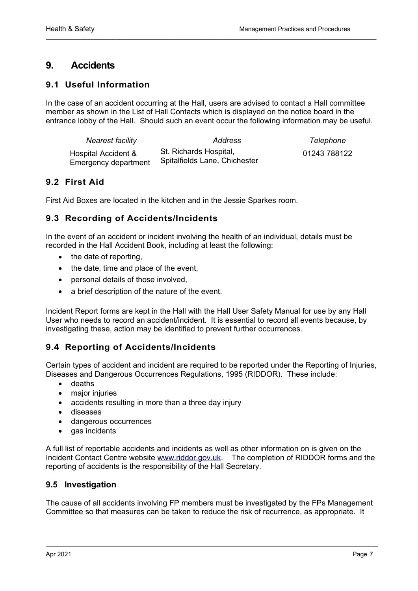# <span id="page-6-4"></span>**9. Accidents**

## <span id="page-6-3"></span>**9.1 Useful Information**

In the case of an accident occurring at the Hall, users are advised to contact a Hall committee member as shown in the List of Hall Contacts which is displayed on the notice board in the entrance lobby of the Hall. Should such an event occur the following information may be useful.

 $\mathcal{L}_\mathcal{L} = \{ \mathcal{L}_\mathcal{L} = \{ \mathcal{L}_\mathcal{L} = \{ \mathcal{L}_\mathcal{L} = \{ \mathcal{L}_\mathcal{L} = \{ \mathcal{L}_\mathcal{L} = \{ \mathcal{L}_\mathcal{L} = \{ \mathcal{L}_\mathcal{L} = \{ \mathcal{L}_\mathcal{L} = \{ \mathcal{L}_\mathcal{L} = \{ \mathcal{L}_\mathcal{L} = \{ \mathcal{L}_\mathcal{L} = \{ \mathcal{L}_\mathcal{L} = \{ \mathcal{L}_\mathcal{L} = \{ \mathcal{L}_\mathcal{$ 

| Nearest facility                            | Address                                                 | Telephone    |
|---------------------------------------------|---------------------------------------------------------|--------------|
| Hospital Accident &<br>Emergency department | St. Richards Hospital,<br>Spitalfields Lane, Chichester | 01243 788122 |

## <span id="page-6-2"></span>**9.2 First Aid**

First Aid Boxes are located in the kitchen and in the Jessie Sparkes room.

## <span id="page-6-1"></span>**9.3 Recording of Accidents/Incidents**

In the event of an accident or incident involving the health of an individual, details must be recorded in the Hall Accident Book, including at least the following:

- the date of reporting,
- the date, time and place of the event,
- personal details of those involved,
- a brief description of the nature of the event.

Incident Report forms are kept in the Hall with the Hall User Safety Manual for use by any Hall User who needs to record an accident/incident. It is essential to record all events because, by investigating these, action may be identified to prevent further occurrences.

## <span id="page-6-0"></span>**9.4 Reporting of Accidents/Incidents**

Certain types of accident and incident are required to be reported under the Reporting of Injuries, Diseases and Dangerous Occurrences Regulations, 1995 (RIDDOR). These include:

- deaths
- major injuries
- accidents resulting in more than a three day injury
- diseases
- dangerous occurrences
- gas incidents

A full list of reportable accidents and incidents as well as other information on is given on the Incident Contact Centre website [www.riddor.gov.uk.](http://www.riddor.gov.uk/) The completion of RIDDOR forms and the reporting of accidents is the responsibility of the Hall Secretary.

## **9.5 Investigation**

The cause of all accidents involving FP members must be investigated by the FPs Management Committee so that measures can be taken to reduce the risk of recurrence, as appropriate. It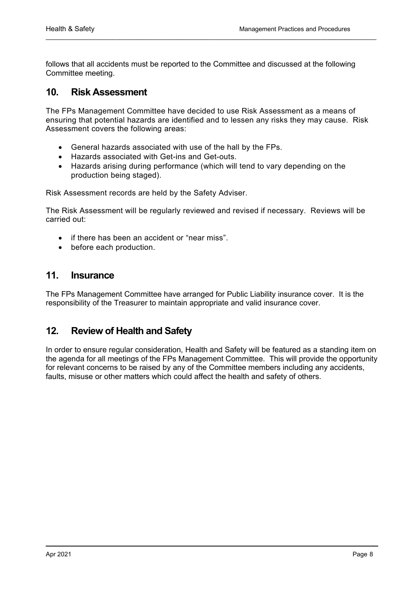follows that all accidents must be reported to the Committee and discussed at the following Committee meeting.

 $\mathcal{L}_\mathcal{L} = \{ \mathcal{L}_\mathcal{L} = \{ \mathcal{L}_\mathcal{L} = \{ \mathcal{L}_\mathcal{L} = \{ \mathcal{L}_\mathcal{L} = \{ \mathcal{L}_\mathcal{L} = \{ \mathcal{L}_\mathcal{L} = \{ \mathcal{L}_\mathcal{L} = \{ \mathcal{L}_\mathcal{L} = \{ \mathcal{L}_\mathcal{L} = \{ \mathcal{L}_\mathcal{L} = \{ \mathcal{L}_\mathcal{L} = \{ \mathcal{L}_\mathcal{L} = \{ \mathcal{L}_\mathcal{L} = \{ \mathcal{L}_\mathcal{$ 

## <span id="page-7-3"></span><span id="page-7-2"></span>**10. Risk Assessment**

The FPs Management Committee have decided to use Risk Assessment as a means of ensuring that potential hazards are identified and to lessen any risks they may cause. Risk Assessment covers the following areas:

- General hazards associated with use of the hall by the FPs.
- Hazards associated with Get-ins and Get-outs.
- Hazards arising during performance (which will tend to vary depending on the production being staged).

Risk Assessment records are held by the Safety Adviser.

The Risk Assessment will be regularly reviewed and revised if necessary. Reviews will be carried out:

- if there has been an accident or "near miss".
- before each production.

## <span id="page-7-1"></span>**11. Insurance**

The FPs Management Committee have arranged for Public Liability insurance cover. It is the responsibility of the Treasurer to maintain appropriate and valid insurance cover.

## <span id="page-7-0"></span>**12. Review of Health and Safety**

In order to ensure regular consideration, Health and Safety will be featured as a standing item on the agenda for all meetings of the FPs Management Committee. This will provide the opportunity for relevant concerns to be raised by any of the Committee members including any accidents, faults, misuse or other matters which could affect the health and safety of others.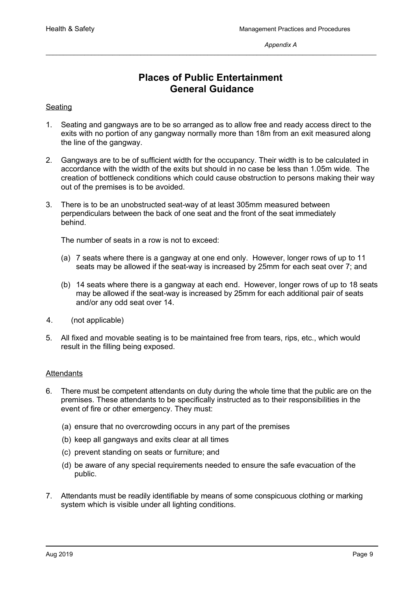## **Places of Public Entertainment General Guidance**

\_\_\_\_\_\_\_\_\_\_\_\_\_\_\_\_\_\_\_\_\_\_\_\_\_\_\_\_\_\_\_\_\_\_\_\_\_\_\_\_\_\_\_\_\_\_\_\_\_\_\_\_\_\_\_\_\_\_\_\_\_\_\_\_\_\_\_\_\_\_\_\_\_\_\_\_\_\_\_\_\_\_\_\_\_\_\_\_\_\_\_\_\_\_

#### Seating

- 1. Seating and gangways are to be so arranged as to allow free and ready access direct to the exits with no portion of any gangway normally more than 18m from an exit measured along the line of the gangway.
- 2. Gangways are to be of sufficient width for the occupancy. Their width is to be calculated in accordance with the width of the exits but should in no case be less than 1.05m wide. The creation of bottleneck conditions which could cause obstruction to persons making their way out of the premises is to be avoided.
- 3. There is to be an unobstructed seat-way of at least 305mm measured between perpendiculars between the back of one seat and the front of the seat immediately behind.

The number of seats in a row is not to exceed:

- (a) 7 seats where there is a gangway at one end only. However, longer rows of up to 11 seats may be allowed if the seat-way is increased by 25mm for each seat over 7; and
- (b) 14 seats where there is a gangway at each end. However, longer rows of up to 18 seats may be allowed if the seat-way is increased by 25mm for each additional pair of seats and/or any odd seat over 14.
- 4. (not applicable)
- 5. All fixed and movable seating is to be maintained free from tears, rips, etc., which would result in the filling being exposed.

#### **Attendants**

- 6. There must be competent attendants on duty during the whole time that the public are on the premises. These attendants to be specifically instructed as to their responsibilities in the event of fire or other emergency. They must:
	- (a) ensure that no overcrowding occurs in any part of the premises
	- (b) keep all gangways and exits clear at all times
	- (c) prevent standing on seats or furniture; and
	- (d) be aware of any special requirements needed to ensure the safe evacuation of the public.
- 7. Attendants must be readily identifiable by means of some conspicuous clothing or marking system which is visible under all lighting conditions.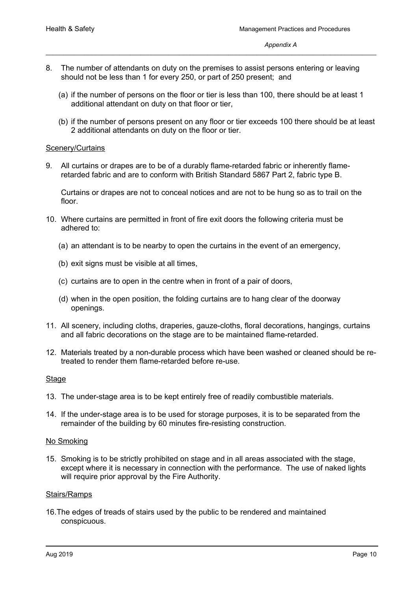- 8. The number of attendants on duty on the premises to assist persons entering or leaving should not be less than 1 for every 250, or part of 250 present; and
	- (a) if the number of persons on the floor or tier is less than 100, there should be at least 1 additional attendant on duty on that floor or tier,

\_\_\_\_\_\_\_\_\_\_\_\_\_\_\_\_\_\_\_\_\_\_\_\_\_\_\_\_\_\_\_\_\_\_\_\_\_\_\_\_\_\_\_\_\_\_\_\_\_\_\_\_\_\_\_\_\_\_\_\_\_\_\_\_\_\_\_\_\_\_\_\_\_\_\_\_\_\_\_\_\_\_\_\_\_\_\_\_\_\_\_\_\_\_

(b) if the number of persons present on any floor or tier exceeds 100 there should be at least 2 additional attendants on duty on the floor or tier.

#### **Scenery/Curtains**

9. All curtains or drapes are to be of a durably flame-retarded fabric or inherently flameretarded fabric and are to conform with British Standard 5867 Part 2, fabric type B.

Curtains or drapes are not to conceal notices and are not to be hung so as to trail on the floor.

- 10. Where curtains are permitted in front of fire exit doors the following criteria must be adhered to:
	- (a) an attendant is to be nearby to open the curtains in the event of an emergency,
	- (b) exit signs must be visible at all times,
	- (c) curtains are to open in the centre when in front of a pair of doors,
	- (d) when in the open position, the folding curtains are to hang clear of the doorway openings.
- 11. All scenery, including cloths, draperies, gauze-cloths, floral decorations, hangings, curtains and all fabric decorations on the stage are to be maintained flame-retarded.
- 12. Materials treated by a non-durable process which have been washed or cleaned should be retreated to render them flame-retarded before re-use.

#### **Stage**

- 13. The under-stage area is to be kept entirely free of readily combustible materials.
- 14. If the under-stage area is to be used for storage purposes, it is to be separated from the remainder of the building by 60 minutes fire-resisting construction.

#### No Smoking

15. Smoking is to be strictly prohibited on stage and in all areas associated with the stage, except where it is necessary in connection with the performance. The use of naked lights will require prior approval by the Fire Authority.

#### Stairs/Ramps

16.The edges of treads of stairs used by the public to be rendered and maintained conspicuous.